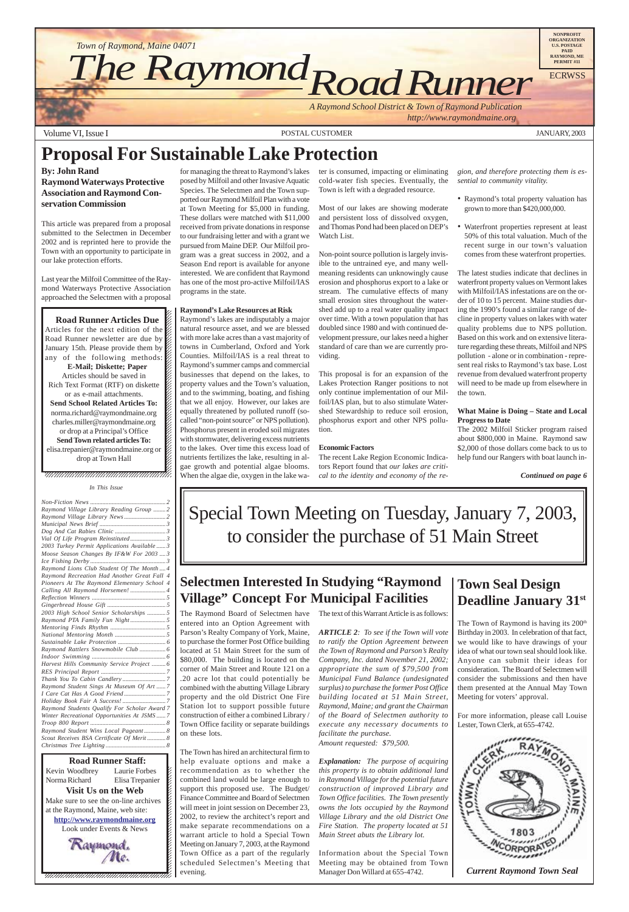Volume VI, Issue I POSTAL CUSTOMER JANUARY, 2003





Special Town Meeting on Tuesday, January 7, 2003, to consider the purchase of 51 Main Street

# **Proposal For Sustainable Lake Protection**

#### **By: John Rand**

**Raymond Waterways Protective Association and Raymond Conservation Commission**

This article was prepared from a proposal submitted to the Selectmen in December 2002 and is reprinted here to provide the Town with an opportunity to participate in our lake protection efforts.

Last year the Milfoil Committee of the Raymond Waterways Protective Association approached the Selectmen with a proposal

12345678901234567890123456789012345678901234567890123456789012345678901234567890123456789012345678901234567890 12345678901234567890123456789012123456789012345678  $1235678901234567890123456789012345678901234567890123456789012345678901234567890123456789012345678901234567890123456789012345678901234567890123456789012345678901234567890123456789012345678901234567890123456789012345678901$ 

**Road Runner Articles Due** <u>12366878901234567890123456789012345</u> Articles for the next edition of the  $\mathscr{C}$  $1235678901234587890123456789012345678901234567890123456789012345678901234567890123456789012345678901234567890123456789012345678901234567890123456789012345678901234567890123456789012345678901234567890123456789012345678901$ Road Runner newsletter are due by  $\%$ January 15th. Please provide them by any of the following methods:  $\mathscr{L}$  $18.8$  8  $18.8$  8  $18.8$  8  $18.8$  8  $18.8$  8  $18.8$  8  $18.8$  8  $18.8$  8  $18.8$  8  $18.8$  8  $18.8$  8  $18.8$  8  $18.8$  8  $18.8$  8  $18.8$  8  $18.8$  8  $18.8$  8  $18.8$  8  $18.8$  8  $18.8$  8  $18.8$  8  $18.8$  8  $18.8$  8  $18.8$  8  $18.8$ **E-Mail; Diskette; Paper** Articles should be saved in  $1235678901234567890123456789012345678901234567890123456789012345678901234567890123456789012345678901234567890123456789012345678901234567890123456789012345678901234567890123456789012345678901234567890123456789012345678901$ Rich Text Format (RTF) on diskette  $\%$ or as e-mail attachments.  $1235678901234587890123456789012345678901234567890123456789012345678901234567890123456789012345678901234567890123456789012345678901234567890123456789012345678901234567890123456789012345678901234567890123456789012345678901$ **Send School Related Articles To:** norma.richard@raymondmaine.org  $1$  8  $1$  8  $1$  8  $1$  8  $1$  8  $1$ charles.miller@raymondmaine.org or drop at a Principal's Office  $\mathbb{Z}$ 1234 Tuesday 1234 Tuesday 1234 Tuesday 1234 Tuesday 1234 Tuesday 1234 Tuesday 1234 Tuesday 1234 Tuesday 1234 Tu **Send Town related articles To:**  $1235678901234567890123456789012345678901234567890123456789012345678901234567890123456789012345678901234567890123456789012345678901234567890123456789012345678901234567890123456789012345678901234567890123456789012345678901$ elisa.trepanier@raymondmaine.org or  $\mathscr{C}$  $\Delta$  drop at Town Hall  $1235678901234567890123456789012345678901234567890123456789012345678901234567890123456789012345678901234567890123456789012345678901234567890123456789012345678901234567890123456789012345678901234567890123456789012345678901$ 

#### $1235678901234587890123456789012345678901234567890123456789012345678901234567890123456789012345678901234567890123456789012345678901234567890123456789012345678901234567890123456789012345678901234567890123456789012345678901$  $1235678901234587890123456789012345678901234567890123456789012345678901234567890123456789012345678901234567890123456789012345678901234567890123456789012345678901234567890123456789012345678901234567890123456789012345678901$  $\blacksquare$ , 1234567891234567891234567891234567891234567891234578

The Town of Raymond is having its 200<sup>th</sup> Birthday in 2003. In celebration of that fact, we would like to have drawings of your idea of what our town seal should look like. Anyone can submit their ideas for consideration. The Board of Selectmen will consider the submissions and then have them presented at the Annual May Town

for managing the threat to Raymond's lakes posed by Milfoil and other Invasive Aquatic Species. The Selectmen and the Town supported our Raymond Milfoil Plan with a vote at Town Meeting for \$5,000 in funding. These dollars were matched with \$11,000 received from private donations in response to our fundraising letter and with a grant we pursued from Maine DEP. Our Milfoil program was a great success in 2002, and a Season End report is available for anyone interested. We are confident that Raymond has one of the most pro-active Milfoil/IAS programs in the state.

#### **Raymond's Lake Resources at Risk**

Raymond's lakes are indisputably a major natural resource asset, and we are blessed with more lake acres than a vast majority of towns in Cumberland, Oxford and York Counties. Milfoil/IAS is a real threat to Raymond's summer camps and commercial businesses that depend on the lakes, to property values and the Town's valuation, and to the swimming, boating, and fishing that we all enjoy. However, our lakes are equally threatened by polluted runoff (socalled "non-point source" or NPS pollution). Phosphorus present in eroded soil migrates with stormwater, delivering excess nutrients to the lakes. Over time this excess load of nutrients fertilizes the lake, resulting in algae growth and potential algae blooms. When the algae die, oxygen in the lake water is consumed, impacting or eliminating cold-water fish species. Eventually, the Town is left with a degraded resource.

Most of our lakes are showing moderate and persistent loss of dissolved oxygen, and Thomas Pond had been placed on DEP's Watch List.

Non-point source pollution is largely invisible to the untrained eye, and many wellmeaning residents can unknowingly cause erosion and phosphorus export to a lake or stream. The cumulative effects of many small erosion sites throughout the watershed add up to a real water quality impact over time. With a town population that has doubled since 1980 and with continued development pressure, our lakes need a higher standard of care than we are currently providing.

This proposal is for an expansion of the Lakes Protection Ranger positions to not only continue implementation of our Milfoil/IAS plan, but to also stimulate Watershed Stewardship to reduce soil erosion, phosphorus export and other NPS pollution.

#### **Economic Factors**

The recent Lake Region Economic Indicators Report found that *our lakes are critical to the identity and economy of the re-* *gion, and therefore protecting them is essential to community vitality.*

- Raymond's total property valuation has grown to more than \$420,000,000.
- Waterfront properties represent at least 50% of this total valuation. Much of the recent surge in our town's valuation comes from these waterfront properties.

The latest studies indicate that declines in waterfront property values on Vermont lakes with Milfoil/IAS infestations are on the order of 10 to 15 percent. Maine studies during the 1990's found a similar range of decline in property values on lakes with water quality problems due to NPS pollution. Based on this work and on extensive literature regarding these threats, Milfoil and NPS pollution - alone or in combination **-** represent real risks to Raymond's tax base. Lost revenue from devalued waterfront property will need to be made up from elsewhere in the town.

#### **What Maine is Doing – State and Local Progress to Date**

The 2002 Milfoil Sticker program raised about \$800,000 in Maine. Raymond saw \$2,000 of those dollars come back to us to help fund our Rangers with boat launch in-

## **Selectmen Interested In Studying "Raymond Village" Concept For Municipal Facilities**

The Raymond Board of Selectmen have entered into an Option Agreement with Parson's Realty Company of York, Maine, to purchase the former Post Office building located at 51 Main Street for the sum of \$80,000. The building is located on the corner of Main Street and Route 121 on a .20 acre lot that could potentially be combined with the abutting Village Library property and the old District One Fire Station lot to support possible future construction of either a combined Library / Town Office facility or separate buildings on these lots.

The Town has hired an architectural firm to help evaluate options and make a recommendation as to whether the combined land would be large enough to support this proposed use. The Budget/ Finance Committee and Board of Selectmen will meet in joint session on December 23, 2002, to review the architect's report and make separate recommendations on a warrant article to hold a Special Town Meeting on January 7, 2003, at the Raymond Town Office as a part of the regularly scheduled Selectmen's Meeting that evening.

#### The text of this Warrant Article is as follows:

*ARTICLE 2: To see if the Town will vote to ratify the Option Agreement between the Town of Raymond and Parson's Realty Company, Inc. dated November 21, 2002; appropriate the sum of \$79,500 from Municipal Fund Balance (undesignated surplus) to purchase the former Post Office building located at 51 Main Street, Raymond, Maine; and grant the Chairman of the Board of Selectmen authority to execute any necessary documents to facilitate the purchase. Amount requested: \$79,500.*

*Explanation: The purpose of acquiring this property is to obtain additional land in Raymond Village for the potential future construction of improved Library and Town Office facilities. The Town presently owns the lots occupied by the Raymond Village Library and the old District One Fire Station. The property located at 51 Main Street abuts the Library lot.*

Information about the Special Town Meeting may be obtained from Town Manager Don Willard at 655-4742.

*Continued on page 6*

## **Town Seal Design Deadline January 31st**

Meeting for voters' approval.

For more information, please call Louise Lester, Town Clerk, at 655-4742.



*Current Raymond Town Seal*

#### *In This Issue*

| Raymond Village Library Reading Group  2     |  |
|----------------------------------------------|--|
|                                              |  |
|                                              |  |
|                                              |  |
|                                              |  |
| 2003 Turkey Permit Applications Available  3 |  |
| Moose Season Changes By IF&W For 2003  3     |  |
|                                              |  |
| Raymond Lions Club Student Of The Month 4    |  |
| Raymond Recreation Had Another Great Fall 4  |  |
| Pioneers At The Raymond Elementary School 4  |  |
| Calling All Raymond Horsemen!  4             |  |
|                                              |  |
|                                              |  |
| 2003 High School Senior Scholarships  5      |  |
|                                              |  |
|                                              |  |
|                                              |  |
|                                              |  |
| Raymond Rattlers Snowmobile Club  6          |  |
|                                              |  |
| Harvest Hills Community Service Project  6   |  |
|                                              |  |
|                                              |  |
|                                              |  |

*[Raymond Student Sings At Museum Of Art](#page-6-0) ...... 7*

**123456 Runner Staff:** Laurie Forbes Kevin Woodbrey Laurie Forbes  $\boldsymbol{\xi}$ Norma Richard Elisa Trepanier  $\blacksquare$ **Visit Us on the Web** Make sure to see the on-line archives  $\mathcal{L}$ 12345678901234567890123456789012123456789012345678 at the Raymond, Maine, web site:  $\mathcal{L}$ **http://www.raymondmaine.org** 12345678901234567890123456789012123456789012345678 Look under Events & News  $\mathcal{L}$ 12345678901234567890123456789012123456789012345678  $18.8$  8  $18.8$  8  $18.8$  8  $18.8$  8  $18.8$  8  $18.8$  8  $18.8$  8  $18.8$  8  $18.8$  8  $18.8$  8  $18.8$  8  $18.8$  8  $18.8$  8  $18.8$  8  $18.8$  8  $18.8$  8  $18.8$  8  $18.8$  8  $18.8$  8  $18.8$  8  $18.8$  8  $18.8$  8  $18.8$  8  $18.8$  8  $18.8$ 12345678901234567890123456789012123456789012345678 Norma Richard

*[I Care Cat Has A Good Friend](#page-6-0) ........................... 7 [Holiday Book Fair A Success!](#page-6-0) ............................ 7 [Raymond Students Qualify For Scholar Award 7](#page-6-0) [Winter Recreational Opportunities At JSMS](#page-6-0) ...... 7 Troop 800 Report [................................................. 8](#page-7-0) [Raymond Student Wins Local Pageant](#page-7-0) .............. 8 [Scout Receives BSA Certificate Of Merit](#page-7-0)... Christmas Tree Lighting [....................................... 8](#page-7-0)*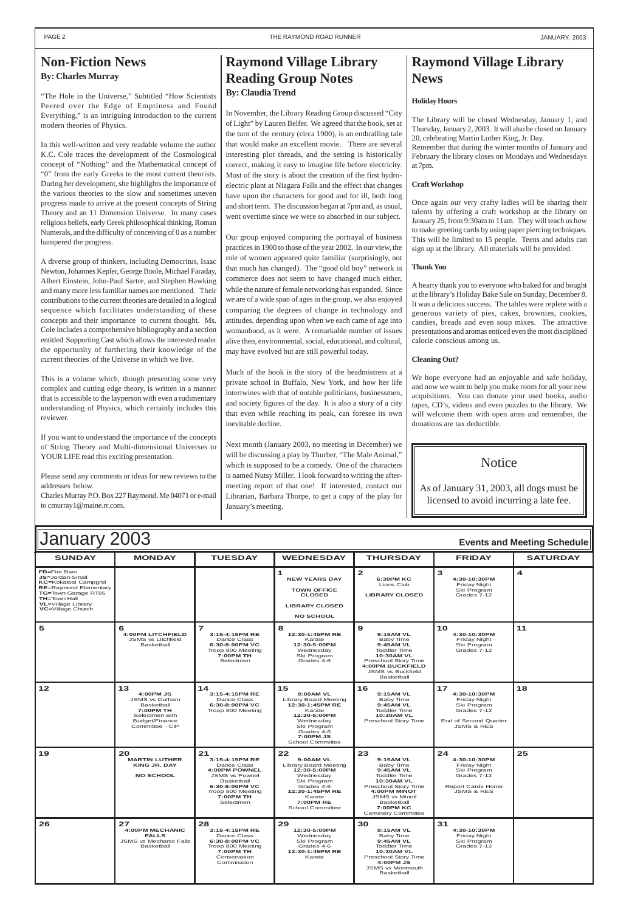#### **S Y UNDAY M Y ONDA T Y UESDA W Y EDNESDA T Y HURSDA F Y RIDA SATURDA FB=**Fire Barn **JS=**Jordan-Small **KC=**Kokatosi Campgnd **RE**=Raymond Elementary **TG=**Town Garage RT85 **TH=**Town Hall **VL**=Village Library **VC**=Village Church **<sup>1</sup> NEW YEARS DAY TOWN OFFICE CLOSED LIBRARY CLOSED NO SCHOOL <sup>2</sup> 6:30PM KC** Lions Club **LIBRARY CLOSED <sup>3</sup> 4:30-10:30PM** Friday Night Ski Program Grades 7-12 **4 5 6 4:00PM** LITCHFIELD JSMS vs Litchfield Basketball **<sup>7</sup> 3:15-4:15PM RE** Dance Class **6:30-8:00PM VC** Troop 800 Meeting **7:00PM TH** Selectmen **<sup>8</sup> 12:30-1:45PM RE** Karate **12:30-5:00PM** Wednesday Ski Program Grades 4-6 **<sup>9</sup> 9:15AM VL** Baby Time **9:45AM VL** Toddler Time **10:30AM VL** Preschool Story Time **4:00PM BUCKFIELD** JSMS vs Buckfield **Basketball <sup>10</sup> 4:30-10:30PM** Friday Night Ski Program Grades 7-12 **11 14 <sup>15</sup> 9:00AM VL 18** January 2003 **Events and Meeting Schedule**

| $12$ | 13<br>4:00PM JS<br><b>JSMS vs Durham</b><br>Basketball<br>7:00PM TH<br>Selectmen with<br>Budget/Finance<br>Committee - CIP | 14<br>3:15-4:15PM RE<br>Dance Class<br>6:30-8:00PM VC<br>Troop 800 Meeting                                                                                          | 15<br>$9:00AM$ VL<br><b>Library Board Meeting</b><br>12:30-1:45PM RE<br>Karate<br>12:30-5:00PM<br>Wednesday<br>Ski Program<br>Grades 4-6<br>7:00PM JS<br><b>School Committee</b>             | 16<br>9:15AM VL<br>Baby Time<br>9:45AM VL<br><b>Toddler Time</b><br><b>10:30AM VL</b><br>Preschool Story Time                                                                                                         | 17<br>4:30-10:30PM<br><b>Friday Night</b><br>Ski Program<br>Grades 7-12<br>End of Second Quarter<br><b>JSMS &amp; RES</b> | 18 |
|------|----------------------------------------------------------------------------------------------------------------------------|---------------------------------------------------------------------------------------------------------------------------------------------------------------------|----------------------------------------------------------------------------------------------------------------------------------------------------------------------------------------------|-----------------------------------------------------------------------------------------------------------------------------------------------------------------------------------------------------------------------|---------------------------------------------------------------------------------------------------------------------------|----|
| 19   | 20<br><b>MARTIN LUTHER</b><br><b>KING JR. DAY</b><br><b>NO SCHOOL</b>                                                      | 21<br>3:15-4:15PM RE<br>Dance Class<br><b>4:00PM POWNEL</b><br><b>JSMS vs Pownel</b><br>Basketball<br>6:30-8:00PM VC<br>Troop 800 Meeting<br>7:00PM TH<br>Selectmen | 22<br><b>9:00AM VL</b><br><b>Library Board Meeting</b><br>12:30-5:00PM<br>Wednesday<br>Ski Program<br>Grades 4-6<br>12:30-1:45PM RE<br>Karate<br><b>7:00PM RE</b><br><b>School Committee</b> | 23<br>9:15AM VL<br>Baby Time<br>9:45AM VL<br><b>Toddler Time</b><br><b>10:30AM VL</b><br>Preschool Story Time<br><b>4:00PM MINOT</b><br><b>JSMS vs Minotl</b><br>Basketball<br>7:00PM KC<br><b>Cemetery Committee</b> | 24<br>4:30-10:30PM<br>Friday Night<br>Ski Program<br>Grades 7-12<br><b>Report Cards Home</b><br><b>JSMS &amp; RES</b>     | 25 |
| 26   | 27<br><b>4:00PM MECHANIC</b><br><b>FALLS</b><br><b>JSMS vs Mechanic Falls</b><br>Basketball                                | 28<br>3:15-4:15PM RE<br>Dance Class<br>6:30-8:00PM VC<br>Troop 800 Meeting<br>7:00PM TH<br>Conservation<br>Commission                                               | 29<br>12:30-5:00PM<br>Wednesday<br>Ski Program<br>Grades 4-6<br>12:30-1:45PM RE<br>Karate                                                                                                    | 30<br>9:15AM VL<br>Baby Time<br>9:45AM VL<br><b>Toddler Time</b><br><b>10:30AM VL</b><br>Preschool Story Time<br>4:00PM JS<br><b>JSMS</b> vs Monmouth<br><b>Basketball</b>                                            | 31<br>4:30-10:30PM<br>Friday Night<br>Ski Program<br>Grades 7-12                                                          |    |

# **Raymond Village Library News**

### **Holiday Hours**

The Library will be closed Wednesday, January 1, and Thursday, January 2, 2003. It will also be closed on January 20, celebrating Martin Luther King, Jr. Day.

Remember that during the winter months of January and February the library closes on Mondays and Wednesdays at 7pm.

### **Craft Workshop**

Once again our very crafty ladies will be sharing their talents by offering a craft workshop at the library on January 25, from 9:30am to 11am. They will teach us how to make greeting cards by using paper piercing techniques. This will be limited to 15 people. Teens and adults can sign up at the library. All materials will be provided.

### **Thank You**

A hearty thank you to everyone who baked for and bought at the library's Holiday Bake Sale on Sunday, December 8. It was a delicious success. The tables were replete with a generous variety of pies, cakes, brownies, cookies, candies, breads and even soup mixes. The attractive presentations and aromas enticed even the most disciplined calorie conscious among us.

### **Cleaning Out?**

We hope everyone had an enjoyable and safe holiday, and now we want to help you make room for all your new acquisitions. You can donate your used books, audio tapes, CD's, videos and even puzzles to the library. We will welcome them with open arms and remember, the donations are tax deductible.

### **Notice**

### <span id="page-1-0"></span>**Non-Fiction News By: Charles Murray**

"The Hole in the Universe," Subtitled "How Scientists Peered over the Edge of Emptiness and Found Everything," is an intriguing introduction to the current modern theories of Physics.

In this well-written and very readable volume the author K.C. Cole traces the development of the Cosmological concept of "Nothing" and the Mathematical concept of "0" from the early Greeks to the most current theorists. During her development, she highlights the importance of the various theories to the slow and sometimes uneven progress made to arrive at the present concepts of String Theory and an 11 Dimension Universe. In many cases religious beliefs, early Greek philosophical thinking, Roman Numerals, and the difficulty of conceiving of 0 as a number hampered the progress.

A diverse group of thinkers, including Democritus, Isaac Newton, Johannes Kepler, George Boole, Michael Faraday, Albert Einstein, John-Paul Sartre, and Stephen Hawking and many more less familiar names are mentioned. Their contributions to the current theories are detailed in a logical sequence which facilitates understanding of these concepts and their importance to current thought. Ms. Cole includes a comprehensive bibliography and a section entitled Supporting Cast which allows the interested reader the opportunity of furthering their knowledge of the current theories of the Universe in which we live.

This is a volume which, though presenting some very complex and cutting edge theory, is written in a manner that is accessible to the layperson with even a rudimentary understanding of Physics, which certainly includes this reviewer.

If you want to understand the importance of the concepts of String Theory and Multi-dimensional Universes to YOUR LIFE read this exciting presentation.

Please send any comments or ideas for new reviews to the addresses below.

Charles Murray P.O. Box 227 Raymond, Me 04071 or e-mail to cmurray1@maine.rr.com.

### **Raymond Village Library Reading Group Notes By: Claudia Trend**

In November, the Library Reading Group discussed "City of Light" by Lauren Belfer. We agreed that the book, set at the turn of the century (circa 1900), is an enthralling tale that would make an excellent movie. There are several interesting plot threads, and the setting is historically correct, making it easy to imagine life before electricity. Most of the story is about the creation of the first hydroelectric plant at Niagara Falls and the effect that changes have upon the characters for good and for ill, both long and short term. The discussion began at 7pm and, as usual, went overtime since we were so absorbed in our subject.

Our group enjoyed comparing the portrayal of business practices in 1900 to those of the year 2002. In our view, the role of women appeared quite familiar (surprisingly, not that much has changed). The "good old boy" network in commerce does not seem to have changed much either, while the nature of female networking has expanded. Since we are of a wide span of ages in the group, we also enjoyed comparing the degrees of change in technology and attitudes, depending upon when we each came of age into womanhood, as it were. A remarkable number of issues alive then, environmental, social, educational, and cultural, may have evolved but are still powerful today.

Much of the book is the story of the headmistress at a private school in Buffalo, New York, and how her life intertwines with that of notable politicians, businessmen, and society figures of the day. It is also a story of a city that even while reaching its peak, can foresee its own inevitable decline.

Next month (January 2003, no meeting in December) we will be discussing a play by Thurber, "The Male Animal," which is supposed to be a comedy. One of the characters is named Nutsy Miller. I look forward to writing the aftermeeting report of that one! If interested, contact our Librarian, Barbara Thorpe, to get a copy of the play for January's meeting.

As of January 31, 2003, all dogs must be licensed to avoid incurring a late fee.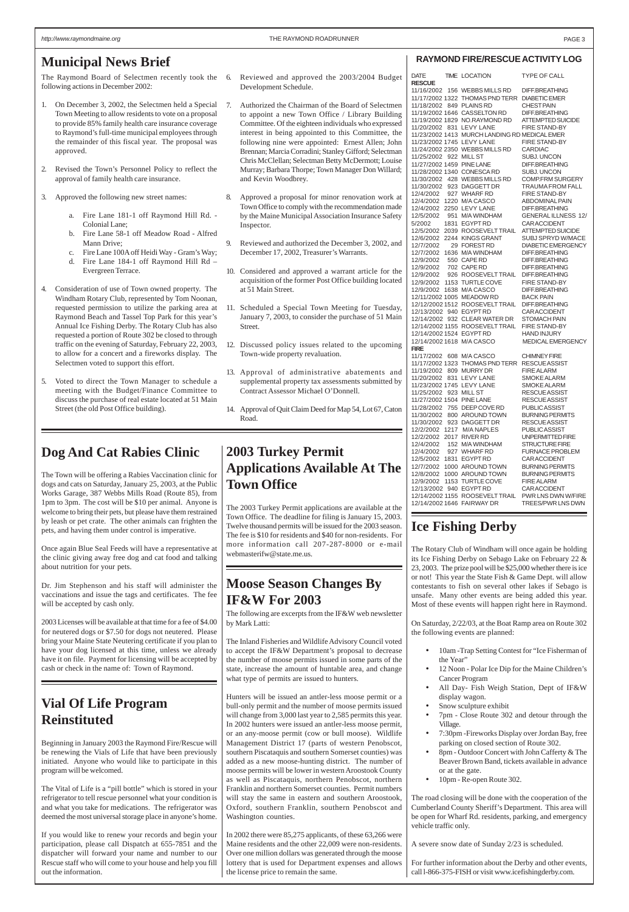#### **RAYMOND FIRE/RESCUE ACTIVITY LOG**

| DATE                      | TIME LOCATION                                          | TYPE OF CALL                                       |
|---------------------------|--------------------------------------------------------|----------------------------------------------------|
| <b>RESCUE</b>             |                                                        |                                                    |
|                           | 11/16/2002 156 WEBBS MILLS RD                          | DIFF.BREATHING                                     |
|                           | 11/17/2002 1322 THOMAS PND TERR                        | <b>DIABETIC EMER</b>                               |
|                           | 11/18/2002 849 PLAINS RD                               | <b>CHEST PAIN</b>                                  |
|                           | 11/19/2002 1646 CASSELTON RD                           | <b>DIFF.BREATHING</b>                              |
|                           | 11/19/2002 1829 NO.RAYMOND RD                          | <b>ATTEMPTED SUICIDE</b>                           |
|                           | 11/20/2002 831 LEVY LANE                               | <b>FIRE STAND-BY</b>                               |
|                           | 11/23/2002 1413 MURCH LANDING RD MEDICAL EMER          |                                                    |
|                           |                                                        |                                                    |
|                           | 11/23/2002 1745 LEVY LANE                              | FIRE STAND-BY                                      |
|                           | 11/24/2002 2350 WEBBS MILLS RD                         | <b>CARDIAC</b>                                     |
| 11/25/2002 922 MILL ST    |                                                        | <b>SUBJ. UNCON</b>                                 |
| 11/27/2002 1459 PINE LANE |                                                        | <b>DIFF.BREATHING</b>                              |
|                           | 11/28/2002 1340 CONESCA RD                             | SUBJ. UNCON                                        |
|                           | 11/30/2002 428 WEBBS MILLS RD                          | <b>COMP.FRM SURGERY</b>                            |
| 11/30/2002                | 923 DAGGETT DR                                         | <b>TRAUMA FROM FALL</b>                            |
|                           | 12/4/2002 927 WHARF RD                                 | <b>FIRE STAND-BY</b>                               |
|                           | 12/4/2002 1220 M/A CASCO                               | <b>ABDOMINAL PAIN</b>                              |
|                           | 12/4/2002 2250 LEVY LANE                               | <b>DIFF.BREATHING</b>                              |
| 12/5/2002                 | 951 M/A WINDHAM                                        | <b>GENERAL ILLNESS 12/</b>                         |
| 5/2002                    | 1831 EGYPT RD                                          | <b>CARACCIDENT</b>                                 |
| 12/5/2002                 | 2039 ROOSEVELTTRAIL                                    | <b>ATTEMPTED SUICIDE</b>                           |
| 12/6/2002                 | 2244 KINGS GRANT                                       | SUBJ SPRYD W/MACE                                  |
| 12/7/2002                 | 29 FOREST RD                                           | <b>DIABETIC EMERGENCY</b>                          |
| 12/7/2002                 | 1636 M/A WINDHAM                                       | DIFF.BREATHING                                     |
|                           |                                                        |                                                    |
| 12/9/2002                 | 550 CAPE RD                                            | <b>DIFF.BREATHING</b>                              |
|                           | 12/9/2002 702 CAPE RD<br>12/9/2002 926 ROOSEVELT TRAIL | <b>DIFF.BREATHING</b>                              |
|                           |                                                        | <b>DIFF.BREATHING</b>                              |
| 12/9/2002                 | 1153 TURTLE COVE                                       | <b>FIRE STAND-BY</b>                               |
|                           | 12/9/2002 1638 M/A CASCO                               | <b>DIFF.BREATHING</b>                              |
|                           | 12/11/2002 1005 MEADOW RD                              | <b>BACK PAIN</b>                                   |
|                           | 12/12/2002 1512 ROOSEVELTTRAIL                         | <b>DIFF.BREATHING</b>                              |
| 12/13/2002 940 EGYPT RD   |                                                        | <b>CARACCIDENT</b>                                 |
|                           | 12/14/2002 932 CLEAR WATER DR                          | <b>STOMACH PAIN</b>                                |
|                           | 12/14/2002 1155 ROOSEVELTTRAIL                         | FIRE STAND-BY                                      |
|                           | 12/14/2002 1524 EGYPT RD                               | <b>HAND INJURY</b>                                 |
|                           | 12/14/2002 1618 M/A CASCO                              | MEDICAL EMERGENCY                                  |
| FIRE                      |                                                        |                                                    |
| 11/17/2002                | 608 M/A CASCO                                          | <b>CHIMNEY FIRE</b>                                |
|                           | 11/17/2002 1323 THOMAS PND TERR RESCUE ASSIST          |                                                    |
| 11/19/2002                | 809 MURRY DR                                           | <b>FIRE ALARM</b>                                  |
|                           | 11/20/2002 831 LEVY LANE                               | <b>SMOKE ALARM</b>                                 |
|                           | 11/23/2002 1745 LEVY LANE                              |                                                    |
|                           |                                                        | <b>SMOKE ALARM</b>                                 |
| 11/25/2002                | 923 MILL ST                                            | <b>RESCUE ASSIST</b>                               |
| 11/27/2002 1504 PINE LANE |                                                        | <b>RESCUE ASSIST</b>                               |
|                           | 11/28/2002 755 DEEP COVE RD                            | <b>PUBLICASSIST</b>                                |
| 11/30/2002                | 800 AROUND TOWN                                        | <b>BURNING PERMITS</b>                             |
| 11/30/2002                | 923 DAGGETT DR                                         | <b>RESCUE ASSIST</b>                               |
| 12/2/2002                 | 1217 M/A NAPLES                                        | <b>PUBLICASSIST</b>                                |
| 12/2/2002                 | 2017 RIVER RD                                          | UNPERMITTED FIRE                                   |
| 12/4/2002                 | 152 M/A WINDHAM                                        | <b>STRUCTURE FIRE</b>                              |
| 12/4/2002                 | 927 WHARF RD                                           | <b>FURNACE PROBLEM</b>                             |
| 12/5/2002                 | 1831 EGYPT RD                                          | <b>CARACCIDENT</b>                                 |
| 12/7/2002                 | 1000 AROUND TOWN                                       | <b>BURNING PERMITS</b>                             |
| 12/8/2002                 | 1000 AROUND TOWN                                       | <b>BURNING PERMITS</b>                             |
| 12/9/2002                 | 1153 TURTLE COVE                                       | <b>FIRE ALARM</b>                                  |
| 12/13/2002 940 EGYPT RD   |                                                        | <b>CARACCIDENT</b>                                 |
|                           |                                                        |                                                    |
|                           |                                                        | 12/14/2002 1155 ROOSEVELT TRAIL PWR LNS DWN W/FIRE |
|                           | 12/14/2002 1646 FAIRWAY DR                             | TREES/PWR LNS DWN                                  |

### <span id="page-2-0"></span>**Municipal News Brief**

The Raymond Board of Selectmen recently took the following actions in December 2002:

- Reviewed and approved the 2003/2004 Budget Development Schedule.
- 7. Authorized the Chairman of the Board of Selectmen to appoint a new Town Office / Library Building Committee. Of the eighteen individuals who expressed interest in being appointed to this Committee, the following nine were appointed: Ernest Allen; John Brennan; Marcia Corradini; Stanley Gifford; Selectman Chris McClellan; Selectman Betty McDermott; Louise Murray; Barbara Thorpe; Town Manager Don Willard; and Kevin Woodbrey.
- 8. Approved a proposal for minor renovation work at Town Office to comply with the recommendation made by the Maine Municipal Association Insurance Safety Inspector.
- Reviewed and authorized the December 3, 2002, and December 17, 2002, Treasurer's Warrants.
- 10. Considered and approved a warrant article for the acquisition of the former Post Office building located at 51 Main Street.
- 11. Scheduled a Special Town Meeting for Tuesday, January 7, 2003, to consider the purchase of 51 Main Street.
- 12. Discussed policy issues related to the upcoming Town-wide property revaluation.
- 13. Approval of administrative abatements and supplemental property tax assessments submitted by Contract Assessor Michael O'Donnell.
- 14. Approval of Quit Claim Deed for Map 54, Lot 67, Caton Road.
- 1. On December 3, 2002, the Selectmen held a Special Town Meeting to allow residents to vote on a proposal to provide 85% family health care insurance coverage to Raymond's full-time municipal employees through the remainder of this fiscal year. The proposal was approved.
- 2. Revised the Town's Personnel Policy to reflect the approval of family health care insurance.
- 3. Approved the following new street names:
	- a. Fire Lane 181-1 off Raymond Hill Rd. Colonial Lane;
	- b. Fire Lane 58-1 off Meadow Road Alfred Mann Drive;
	- c. Fire Lane 100A off Heidi Way Gram's Way;
	- d. Fire Lane 184-1 off Raymond Hill Rd Evergreen Terrace.
- 4. Consideration of use of Town owned property. The Windham Rotary Club, represented by Tom Noonan, requested permission to utilize the parking area at Raymond Beach and Tassel Top Park for this year's Annual Ice Fishing Derby. The Rotary Club has also requested a portion of Route 302 be closed to through traffic on the evening of Saturday, February 22, 2003, to allow for a concert and a fireworks display. The Selectmen voted to support this effort.
- 5. Voted to direct the Town Manager to schedule a meeting with the Budget/Finance Committee to discuss the purchase of real estate located at 51 Main Street (the old Post Office building).

- 10am -Trap Setting Contest for "Ice Fisherman of the Year"
- 12 Noon Polar Ice Dip for the Maine Children's Cancer Program
- All Day- Fish Weigh Station, Dept of IF&W
- display wagon.
- Snow sculpture exhibit
- 7pm Close Route 302 and detour through the Village.
- 7:30pm -Fireworks Display over Jordan Bay, free parking on closed section of Route 302.
- 8pm Outdoor Concert with John Cafferty & The Beaver Brown Band, tickets available in advance or at the gate.
- 10pm Re-open Route 302.

### **Moose Season Changes By IF&W For 2003**

The following are excerpts from the IF&W web newsletter by Mark Latti:

The Inland Fisheries and Wildlife Advisory Council voted to accept the IF&W Department's proposal to decrease the number of moose permits issued in some parts of the state, increase the amount of huntable area, and change what type of permits are issued to hunters.

Hunters will be issued an antler-less moose permit or a bull-only permit and the number of moose permits issued will change from 3,000 last year to 2,585 permits this year. In 2002 hunters were issued an antler-less moose permit, or an any-moose permit (cow or bull moose). Wildlife Management District 17 (parts of western Penobscot, southern Piscataquis and southern Somerset counties) was added as a new moose-hunting district. The number of moose permits will be lower in western Aroostook County as well as Piscataquis, northern Penobscot, northern Franklin and northern Somerset counties. Permit numbers will stay the same in eastern and southern Aroostook, Oxford, southern Franklin, southern Penobscot and Washington counties.

In 2002 there were 85,275 applicants, of these 63,266 were Maine residents and the other 22,009 were non-residents. Over one million dollars was generated through the moose lottery that is used for Department expenses and allows the license price to remain the same.

### **Dog And Cat Rabies Clinic**

The Town will be offering a Rabies Vaccination clinic for dogs and cats on Saturday, January 25, 2003, at the Public Works Garage, 387 Webbs Mills Road (Route 85), from 1pm to 3pm. The cost will be \$10 per animal. Anyone is welcome to bring their pets, but please have them restrained by leash or pet crate. The other animals can frighten the pets, and having them under control is imperative.

Once again Blue Seal Feeds will have a representative at the clinic giving away free dog and cat food and talking about nutrition for your pets.

Dr. Jim Stephenson and his staff will administer the vaccinations and issue the tags and certificates. The fee will be accepted by cash only.

2003 Licenses will be available at that time for a fee of \$4.00 for neutered dogs or \$7.50 for dogs not neutered. Please bring your Maine State Neutering certificate if you plan to have your dog licensed at this time, unless we already have it on file. Payment for licensing will be accepted by cash or check in the name of: Town of Raymond.

# **2003 Turkey Permit Applications Available At The Town Office**

The 2003 Turkey Permit applications are available at the Town Office. The deadline for filing is January 15, 2003. Twelve thousand permits will be issued for the 2003 season. The fee is \$10 for residents and \$40 for non-residents. For more information call 207-287-8000 or e-mail webmasterifw@state.me.us.

## **Vial Of Life Program Reinstituted**

Beginning in January 2003 the Raymond Fire/Rescue will be renewing the Vials of Life that have been previously initiated. Anyone who would like to participate in this program will be welcomed.

The Vital of Life is a "pill bottle" which is stored in your refrigerator to tell rescue personnel what your condition is and what you take for medications. The refrigerator was deemed the most universal storage place in anyone's home.

If you would like to renew your records and begin your participation, please call Dispatch at 655-7851 and the dispatcher will forward your name and number to our Rescue staff who will come to your house and help you fill out the information.

## **Ice Fishing Derby**

The Rotary Club of Windham will once again be holding its Ice Fishing Derby on Sebago Lake on February 22 & 23, 2003. The prize pool will be \$25,000 whether there is ice or not! This year the State Fish & Game Dept. will allow contestants to fish on several other lakes if Sebago is unsafe. Many other events are being added this year. Most of these events will happen right here in Raymond.

On Saturday, 2/22/03, at the Boat Ramp area on Route 302 the following events are planned:

The road closing will be done with the cooperation of the Cumberland County Sheriff's Department. This area will be open for Wharf Rd. residents, parking, and emergency vehicle traffic only.

A severe snow date of Sunday 2/23 is scheduled.

For further information about the Derby and other events, call l-866-375-FISH or visit www.icefishingderby.com.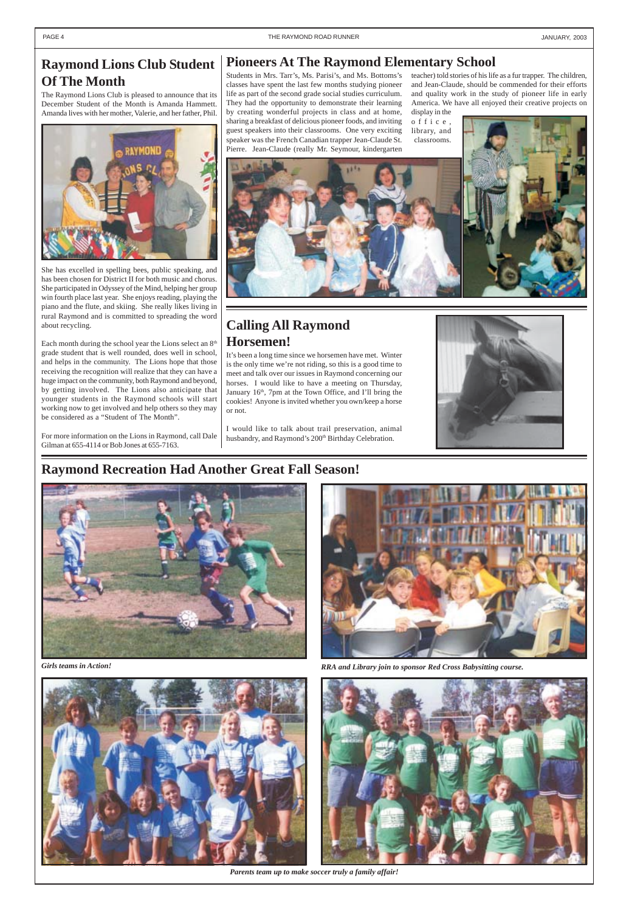

*Parents team up to make soccer truly a family affair!*



*Girls teams in Action! RRA and Library join to sponsor Red Cross Babysitting course.*



### **Raymond Recreation Had Another Great Fall Season!**



#### <span id="page-3-0"></span>PAGE 4 THE RAYMOND ROAD RUNNER AND THE RAYMOND ROAD RUNNER AND THE RAYMOND ROAD RUNNER

# **Raymond Lions Club Student Of The Month**

The Raymond Lions Club is pleased to announce that its December Student of the Month is Amanda Hammett. Amanda lives with her mother, Valerie, and her father, Phil.



She has excelled in spelling bees, public speaking, and has been chosen for District II for both music and chorus. She participated in Odyssey of the Mind, helping her group win fourth place last year. She enjoys reading, playing the piano and the flute, and skiing. She really likes living in rural Raymond and is committed to spreading the word about recycling.

Each month during the school year the Lions select an  $8<sup>th</sup>$ grade student that is well rounded, does well in school, and helps in the community. The Lions hope that those receiving the recognition will realize that they can have a huge impact on the community, both Raymond and beyond, by getting involved. The Lions also anticipate that younger students in the Raymond schools will start working now to get involved and help others so they may be considered as a "Student of The Month".

> I would like to talk about trail preservation, animal husbandry, and Raymond's 200<sup>th</sup> Birthday Celebration.



For more information on the Lions in Raymond, call Dale Gilman at 655-4114 or Bob Jones at 655-7163.

### **Pioneers At The Raymond Elementary School**

Students in Mrs. Tarr's, Ms. Parisi's, and Ms. Bottoms's classes have spent the last few months studying pioneer life as part of the second grade social studies curriculum. They had the opportunity to demonstrate their learning by creating wonderful projects in class and at home, sharing a breakfast of delicious pioneer foods, and inviting guest speakers into their classrooms. One very exciting speaker was the French Canadian trapper Jean-Claude St. Pierre. Jean-Claude (really Mr. Seymour, kindergarten

teacher) told stories of his life as a fur trapper. The children, and Jean-Claude, should be commended for their efforts and quality work in the study of pioneer life in early America. We have all enjoyed their creative projects on display in the

office, library, and classrooms.



### **Calling All Raymond Horsemen!**

It's been a long time since we horsemen have met. Winter is the only time we're not riding, so this is a good time to meet and talk over our issues in Raymond concerning our horses. I would like to have a meeting on Thursday, January 16th, 7pm at the Town Office, and I'll bring the cookies! Anyone is invited whether you own/keep a horse or not.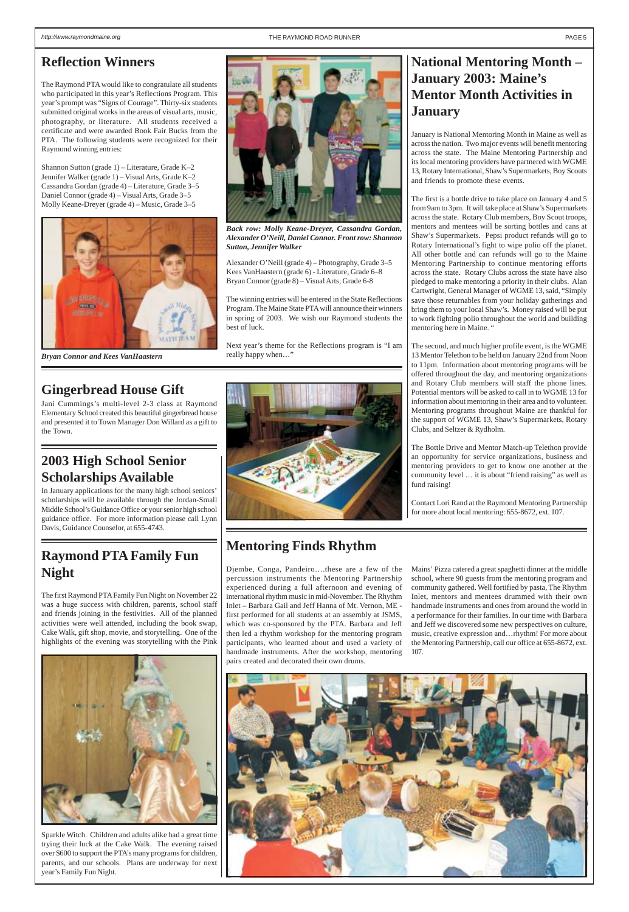## <span id="page-4-0"></span>**Reflection Winners**

The Raymond PTA would like to congratulate all students who participated in this year's Reflections Program. This year's prompt was "Signs of Courage". Thirty-six students submitted original works in the areas of visual arts, music, photography, or literature. All students received a certificate and were awarded Book Fair Bucks from the PTA. The following students were recognized for their Raymond winning entries:

Shannon Sutton (grade 1) – Literature, Grade K–2 Jennifer Walker (grade 1) – Visual Arts, Grade K–2 Cassandra Gordan (grade 4) – Literature, Grade 3–5 Daniel Connor (grade 4) – Visual Arts, Grade 3–5 Molly Keane-Dreyer (grade 4) – Music, Grade 3–5

# **National Mentoring Month – January 2003: Maine's Mentor Month Activities in January**

January is National Mentoring Month in Maine as well as across the nation. Two major events will benefit mentoring across the state. The Maine Mentoring Partnership and its local mentoring providers have partnered with WGME 13, Rotary International, Shaw's Supermarkets, Boy Scouts and friends to promote these events.

The first is a bottle drive to take place on January 4 and 5 from 9am to 3pm. It will take place at Shaw's Supermarkets across the state. Rotary Club members, Boy Scout troops, mentors and mentees will be sorting bottles and cans at Shaw's Supermarkets. Pepsi product refunds will go to Rotary International's fight to wipe polio off the planet. All other bottle and can refunds will go to the Maine Mentoring Partnership to continue mentoring efforts across the state. Rotary Clubs across the state have also pledged to make mentoring a priority in their clubs. Alan Cartwright, General Manager of WGME 13, said, "Simply save those returnables from your holiday gatherings and bring them to your local Shaw's. Money raised will be put to work fighting polio throughout the world and building mentoring here in Maine. "

The second, and much higher profile event, is the WGME 13 Mentor Telethon to be held on January 22nd from Noon to 11pm. Information about mentoring programs will be offered throughout the day, and mentoring organizations and Rotary Club members will staff the phone lines. Potential mentors will be asked to call in to WGME 13 for information about mentoring in their area and to volunteer. Mentoring programs throughout Maine are thankful for the support of WGME 13, Shaw's Supermarkets, Rotary Clubs, and Seltzer & Rydholm.

The Bottle Drive and Mentor Match-up Telethon provide an opportunity for service organizations, business and mentoring providers to get to know one another at the community level … it is about "friend raising" as well as fund raising!

Contact Lori Rand at the Raymond Mentoring Partnership for more about local mentoring: 655-8672, ext. 107.

### **Mentoring Finds Rhythm**

Djembe, Conga, Pandeiro….these are a few of the percussion instruments the Mentoring Partnership experienced during a full afternoon and evening of international rhythm music in mid-November. The Rhythm Inlet – Barbara Gail and Jeff Hanna of Mt. Vernon, ME first performed for all students at an assembly at JSMS, which was co-sponsored by the PTA. Barbara and Jeff then led a rhythm workshop for the mentoring program participants, who learned about and used a variety of handmade instruments. After the workshop, mentoring pairs created and decorated their own drums.

Mains' Pizza catered a great spaghetti dinner at the middle school, where 90 guests from the mentoring program and community gathered. Well fortified by pasta, The Rhythm Inlet, mentors and mentees drummed with their own handmade instruments and ones from around the world in a performance for their families. In our time with Barbara and Jeff we discovered some new perspectives on culture, music, creative expression and…rhythm! For more about the Mentoring Partnership, call our office at 655-8672, ext. 107.



# **Raymond PTA Family Fun Night**

The first Raymond PTA Family Fun Night on November 22 was a huge success with children, parents, school staff and friends joining in the festivities. All of the planned activities were well attended, including the book swap, Cake Walk, gift shop, movie, and storytelling. One of the highlights of the evening was storytelling with the Pink





Sparkle Witch. Children and adults alike had a great time trying their luck at the Cake Walk. The evening raised over \$600 to support the PTA's many programs for children, parents, and our schools. Plans are underway for next year's Family Fun Night.



Alexander O'Neill (grade 4) – Photography, Grade 3–5 Kees VanHaastern (grade 6) - Literature, Grade 6–8 Bryan Connor (grade 8) – Visual Arts, Grade 6-8

The winning entries will be entered in the State Reflections Program. The Maine State PTA will announce their winners in spring of 2003. We wish our Raymond students the best of luck.

Next year's theme for the Reflections program is "I am really happy when…"



*Back row: Molly Keane-Dreyer, Cassandra Gordan, Alexander O'Neill, Daniel Connor. Front row: Shannon Sutton, Jennifer Walker*



*Bryan Connor and Kees VanHaastern*

# **2003 High School Senior Scholarships Available**

In January applications for the many high school seniors' scholarships will be available through the Jordan-Small Middle School's Guidance Office or your senior high school guidance office. For more information please call Lynn Davis, Guidance Counselor, at 655-4743.

# **Gingerbread House Gift**

Jani Cummings's multi-level 2-3 class at Raymond Elementary School created this beautiful gingerbread house and presented it to Town Manager Don Willard as a gift to the Town.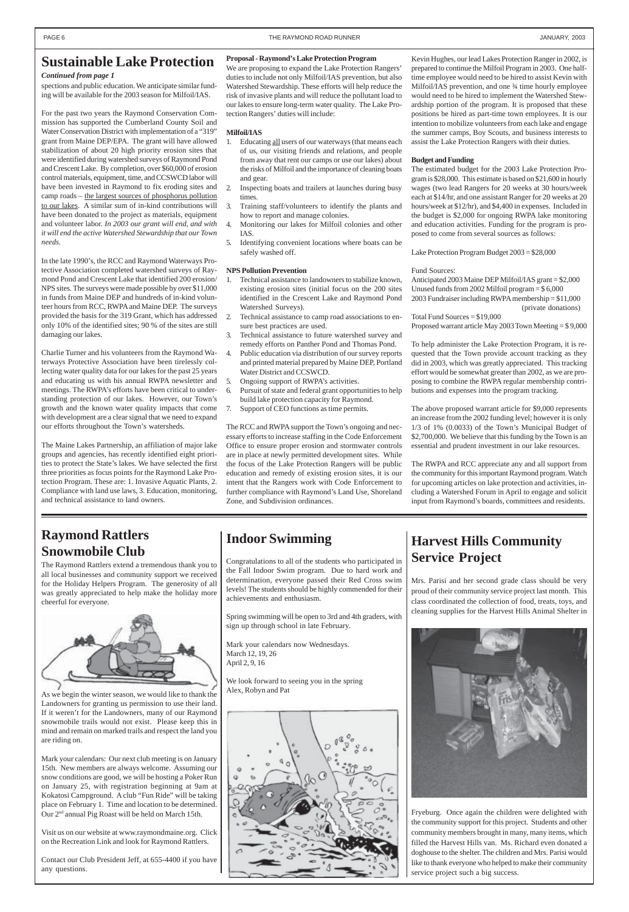spections and public education. We anticipate similar funding will be available for the 2003 season for Milfoil/IAS.

For the past two years the Raymond Conservation Commission has supported the Cumberland County Soil and Water Conservation District with implementation of a "319" grant from Maine DEP/EPA. The grant will have allowed stabilization of about 20 high priority erosion sites that were identified during watershed surveys of Raymond Pond and Crescent Lake. By completion, over \$60,000 of erosion control materials, equipment, time, and CCSWCD labor will have been invested in Raymond to fix eroding sites and camp roads – the largest sources of phosphorus pollution to our lakes. A similar sum of in-kind contributions will have been donated to the project as materials, equipment and volunteer labor. *In 2003 our grant will end, and with it will end the active Watershed Stewardship that our Town needs.*

In the late 1990's, the RCC and Raymond Waterways Protective Association completed watershed surveys of Raymond Pond and Crescent Lake that identified 200 erosion/ NPS sites. The surveys were made possible by over \$11,000 in funds from Maine DEP and hundreds of in-kind volunteer hours from RCC, RWPA and Maine DEP. The surveys provided the basis for the 319 Grant, which has addressed only 10% of the identified sites; 90 % of the sites are still damaging our lakes.

Charlie Turner and his volunteers from the Raymond Waterways Protective Association have been tirelessly collecting water quality data for our lakes for the past 25 years and educating us with his annual RWPA newsletter and meetings. The RWPA's efforts have been critical to understanding protection of our lakes. However, our Town's growth and the known water quality impacts that come with development are a clear signal that we need to expand our efforts throughout the Town's watersheds.

The Maine Lakes Partnership, an affiliation of major lake groups and agencies, has recently identified eight priorities to protect the State's lakes. We have selected the first three priorities as focus points for the Raymond Lake Protection Program. These are: 1. Invasive Aquatic Plants, 2. Compliance with land use laws, 3. Education, monitoring, and technical assistance to land owners.

#### **Proposal - Raymond's Lake Protection Program**

We are proposing to expand the Lake Protection Rangers' duties to include not only Milfoil/IAS prevention, but also Watershed Stewardship. These efforts will help reduce the risk of invasive plants and will reduce the pollutant load to our lakes to ensure long-term water quality. The Lake Protection Rangers' duties will include:

#### **Milfoil/IAS**

- 1. Educating all users of our waterways (that means each of us, our visiting friends and relations, and people from away that rent our camps or use our lakes) about the risks of Milfoil and the importance of cleaning boats and gear.
- 2. Inspecting boats and trailers at launches during busy times.
- 3. Training staff/volunteers to identify the plants and how to report and manage colonies.
- 4. Monitoring our lakes for Milfoil colonies and other IAS.
- 5. Identifying convenient locations where boats can be safely washed off.

#### **NPS Pollution Prevention**

- 1. Technical assistance to landowners to stabilize known, existing erosion sites (initial focus on the 200 sites identified in the Crescent Lake and Raymond Pond Watershed Surveys).
- 2. Technical assistance to camp road associations to ensure best practices are used.
- 3. Technical assistance to future watershed survey and remedy efforts on Panther Pond and Thomas Pond.
- 4. Public education via distribution of our survey reports and printed material prepared by Maine DEP, Portland Water District and CCSWCD.
- 5. Ongoing support of RWPA's activities.
- 6. Pursuit of state and federal grant opportunities to help build lake protection capacity for Raymond.
- 7. Support of CEO functions as time permits.

The RCC and RWPA support the Town's ongoing and necessary efforts to increase staffing in the Code Enforcement Office to ensure proper erosion and stormwater controls are in place at newly permitted development sites. While the focus of the Lake Protection Rangers will be public education and remedy of existing erosion sites, it is our intent that the Rangers work with Code Enforcement to further compliance with Raymond's Land Use, Shoreland Zone, and Subdivision ordinances.

Kevin Hughes, our lead Lakes Protection Ranger in 2002, is prepared to continue the Milfoil Program in 2003. One halftime employee would need to be hired to assist Kevin with Milfoil/IAS prevention, and one 3⁄4 time hourly employee would need to be hired to implement the Watershed Stewardship portion of the program. It is proposed that these positions be hired as part-time town employees. It is our intention to mobilize volunteers from each lake and engage the summer camps, Boy Scouts, and business interests to assist the Lake Protection Rangers with their duties.

#### **Budget and Funding**

The estimated budget for the 2003 Lake Protection Program is \$28,000. This estimate is based on \$21,600 in hourly wages (two lead Rangers for 20 weeks at 30 hours/week each at \$14/hr, and one assistant Ranger for 20 weeks at 20 hours/week at \$12/hr), and \$4,400 in expenses. Included in the budget is \$2,000 for ongoing RWPA lake monitoring and education activities. Funding for the program is proposed to come from several sources as follows:

Lake Protection Program Budget 2003 = \$28,000

#### Fund Sources:

Anticipated 2003 Maine DEP Milfoil/IAS grant = \$2,000 Unused funds from 2002 Milfoil program = \$ 6,000 2003 Fundraiser including RWPA membership = \$11,000 (private donations)

Total Fund Sources = \$19,000 Proposed warrant article May 2003 Town Meeting = \$ 9,000

To help administer the Lake Protection Program, it is requested that the Town provide account tracking as they did in 2003, which was greatly appreciated. This tracking effort would be somewhat greater than 2002, as we are proposing to combine the RWPA regular membership contributions and expenses into the program tracking.

The above proposed warrant article for \$9,000 represents an increase from the 2002 funding level; however it is only 1/3 of 1% (0.0033) of the Town's Municipal Budget of \$2,700,000. We believe that this funding by the Town is an essential and prudent investment in our lake resources.

The RWPA and RCC appreciate any and all support from the community for this important Raymond program. Watch for upcoming articles on lake protection and activities, including a Watershed Forum in April to engage and solicit input from Raymond's boards, committees and residents.

#### *Continued from page 1*

### <span id="page-5-0"></span>**Sustainable Lake Protection**

# **Raymond Rattlers Snowmobile Club**

The Raymond Rattlers extend a tremendous thank you to all local businesses and community support we received for the Holiday Helpers Program. The generosity of all was greatly appreciated to help make the holiday more cheerful for everyone.



As we begin the winter season, we would like to thank the Landowners for granting us permission to use their land. If it weren't for the Landowners, many of our Raymond snowmobile trails would not exist. Please keep this in mind and remain on marked trails and respect the land you are riding on.

Mark your calendars: Our next club meeting is on January 15th. New members are always welcome. Assuming our snow conditions are good, we will be hosting a Poker Run on January 25, with registration beginning at 9am at Kokatosi Campground. A club "Fun Ride" will be taking place on February 1. Time and location to be determined. Our 2nd annual Pig Roast will be held on March 15th.

Visit us on our website at www.raymondmaine.org. Click on the Recreation Link and look for Raymond Rattlers.

Contact our Club President Jeff, at 655-4400 if you have any questions.

# **Harvest Hills Community Service Project**

Mrs. Parisi and her second grade class should be very proud of their community service project last month. This class coordinated the collection of food, treats, toys, and cleaning supplies for the Harvest Hills Animal Shelter in



Fryeburg. Once again the children were delighted with the community support for this project. Students and other community members brought in many, many items, which filled the Harvest Hills van. Ms. Richard even donated a doghouse to the shelter. The children and Mrs. Parisi would like to thank everyone who helped to make their community service project such a big success.

# **Indoor Swimming**

Congratulations to all of the students who participated in the Fall Indoor Swim program. Due to hard work and determination, everyone passed their Red Cross swim levels! The students should be highly commended for their achievements and enthusiasm.

Spring swimming will be open to 3rd and 4th graders, with sign up through school in late February.

Mark your calendars now Wednesdays. March 12, 19, 26 April 2, 9, 16

We look forward to seeing you in the spring



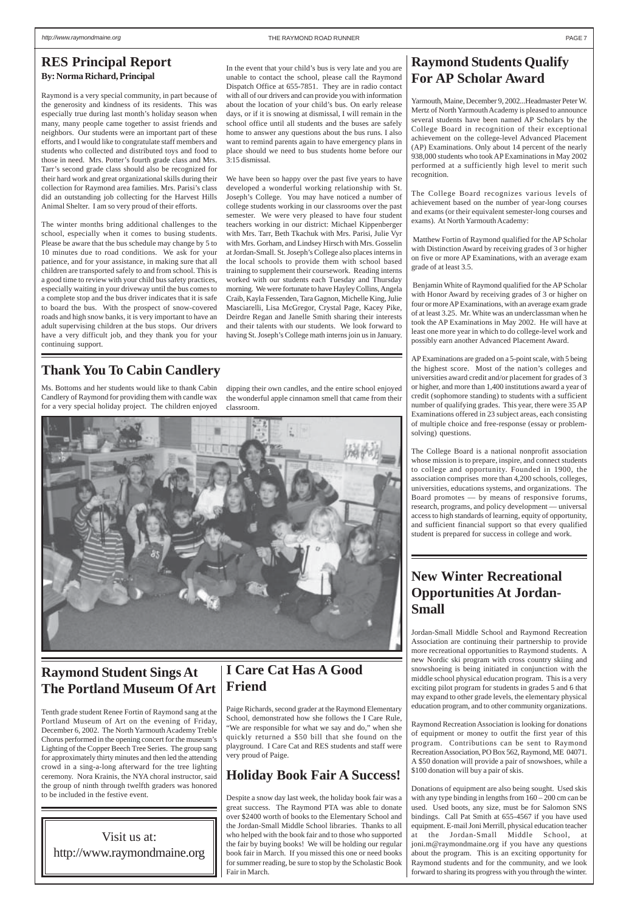# **Holiday Book Fair A Success!**

Despite a snow day last week, the holiday book fair was a great success. The Raymond PTA was able to donate over \$2400 worth of books to the Elementary School and the Jordan-Small Middle School libraries. Thanks to all who helped with the book fair and to those who supported the fair by buying books! We will be holding our regular book fair in March. If you missed this one or need books for summer reading, be sure to stop by the Scholastic Book Fair in March.

<span id="page-6-0"></span>Raymond is a very special community, in part because of the generosity and kindness of its residents. This was especially true during last month's holiday season when many, many people came together to assist friends and neighbors. Our students were an important part of these efforts, and I would like to congratulate staff members and students who collected and distributed toys and food to those in need. Mrs. Potter's fourth grade class and Mrs. Tarr's second grade class should also be recognized for their hard work and great organizational skills during their collection for Raymond area families. Mrs. Parisi's class did an outstanding job collecting for the Harvest Hills Animal Shelter. I am so very proud of their efforts.

The winter months bring additional challenges to the school, especially when it comes to busing students. Please be aware that the bus schedule may change by 5 to 10 minutes due to road conditions. We ask for your patience, and for your assistance, in making sure that all children are transported safely to and from school. This is a good time to review with your child bus safety practices, especially waiting in your driveway until the bus comes to a complete stop and the bus driver indicates that it is safe to board the bus. With the prospect of snow-covered roads and high snow banks, it is very important to have an adult supervising children at the bus stops. Our drivers have a very difficult job, and they thank you for your continuing support.

### **Thank You To Cabin Candlery**

## **New Winter Recreational Opportunities At Jordan-Small**

Jordan-Small Middle School and Raymond Recreation Association are continuing their partnership to provide more recreational opportunities to Raymond students. A new Nordic ski program with cross country skiing and snowshoeing is being initiated in conjunction with the middle school physical education program. This is a very exciting pilot program for students in grades 5 and 6 that

may expand to other grade levels, the elementary physical education program, and to other community organizations.

Raymond Recreation Association is looking for donations of equipment or money to outfit the first year of this program. Contributions can be sent to Raymond Recreation Association, PO Box 562, Raymond, ME 04071. A \$50 donation will provide a pair of snowshoes, while a \$100 donation will buy a pair of skis.

Donations of equipment are also being sought. Used skis with any type binding in lengths from  $160 - 200$  cm can be used. Used boots, any size, must be for Salomon SNS bindings. Call Pat Smith at 655-4567 if you have used equipment. E-mail Joni Merrill, physical education teacher at the Jordan-Small Middle School, at joni.m@raymondmaine.org if you have any questions about the program. This is an exciting opportunity for Raymond students and for the community, and we look forward to sharing its progress with you through the winter.

# **Raymond Students Qualify For AP Scholar Award**

Yarmouth, Maine, December 9, 2002...Headmaster Peter W. Mertz of North Yarmouth Academy is pleased to announce several students have been named AP Scholars by the College Board in recognition of their exceptional achievement on the college-level Advanced Placement (AP) Examinations. Only about 14 percent of the nearly 938,000 students who took AP Examinations in May 2002 performed at a sufficiently high level to merit such recognition.

The College Board recognizes various levels of achievement based on the number of year-long courses and exams (or their equivalent semester-long courses and exams). At North Yarmouth Academy:

 Matthew Fortin of Raymond qualified for the AP Scholar with Distinction Award by receiving grades of 3 or higher on five or more AP Examinations, with an average exam grade of at least 3.5.

 Benjamin White of Raymond qualified for the AP Scholar with Honor Award by receiving grades of 3 or higher on four or more AP Examinations, with an average exam grade of at least 3.25. Mr. White was an underclassman when he took the AP Examinations in May 2002. He will have at least one more year in which to do college-level work and possibly earn another Advanced Placement Award.

AP Examinations are graded on a 5-point scale, with 5 being the highest score. Most of the nation's colleges and universities award credit and/or placement for grades of 3 or higher, and more than 1,400 institutions award a year of credit (sophomore standing) to students with a sufficient number of qualifying grades. This year, there were 35 AP Examinations offered in 23 subject areas, each consisting of multiple choice and free-response (essay or problemsolving) questions.

The College Board is a national nonprofit association whose mission is to prepare, inspire, and connect students to college and opportunity. Founded in 1900, the association comprises more than 4,200 schools, colleges, universities, educations systems, and organizations. The Board promotes — by means of responsive forums, research, programs, and policy development — universal access to high standards of learning, equity of opportunity, and sufficient financial support so that every qualified student is prepared for success in college and work.

Paige Richards, second grader at the Raymond Elementary School, demonstrated how she follows the I Care Rule, "We are responsible for what we say and do," when she quickly returned a \$50 bill that she found on the playground. I Care Cat and RES students and staff were very proud of Paige.

In the event that your child's bus is very late and you are unable to contact the school, please call the Raymond Dispatch Office at 655-7851. They are in radio contact with all of our drivers and can provide you with information about the location of your child's bus. On early release days, or if it is snowing at dismissal, I will remain in the school office until all students and the buses are safely home to answer any questions about the bus runs. I also want to remind parents again to have emergency plans in place should we need to bus students home before our 3:15 dismissal.



**I Care Cat Has A Good Friend Raymond Student Sings At The Portland Museum Of Art**

We have been so happy over the past five years to have developed a wonderful working relationship with St. Joseph's College. You may have noticed a number of college students working in our classrooms over the past semester. We were very pleased to have four student teachers working in our district: Michael Kippenberger with Mrs. Tarr, Beth Tkachuk with Mrs. Parisi, Julie Vyr with Mrs. Gorham, and Lindsey Hirsch with Mrs. Gosselin at Jordan-Small. St. Joseph's College also places interns in the local schools to provide them with school based training to supplement their coursework. Reading interns worked with our students each Tuesday and Thursday morning. We were fortunate to have Hayley Collins, Angela Craib, Kayla Fessenden, Tara Gagnon, Michelle King, Julie Masciarelli, Lisa McGregor, Crystal Page, Kacey Pike, Deirdre Regan and Janelle Smith sharing their interests and their talents with our students. We look forward to having St. Joseph's College math interns join us in January.

Tenth grade student Renee Fortin of Raymond sang at the Portland Museum of Art on the evening of Friday, December 6, 2002. The North Yarmouth Academy Treble Chorus performed in the opening concert for the museum's Lighting of the Copper Beech Tree Series. The group sang for approximately thirty minutes and then led the attending crowd in a sing-a-long afterward for the tree lighting ceremony. Nora Krainis, the NYA choral instructor, said the group of ninth through twelfth graders was honored to be included in the festive event.

Ms. Bottoms and her students would like to thank Cabin Candlery of Raymond for providing them with candle wax for a very special holiday project. The children enjoyed

dipping their own candles, and the entire school enjoyed the wonderful apple cinnamon smell that came from their classroom.

Visit us at: http://www.raymondmaine.org